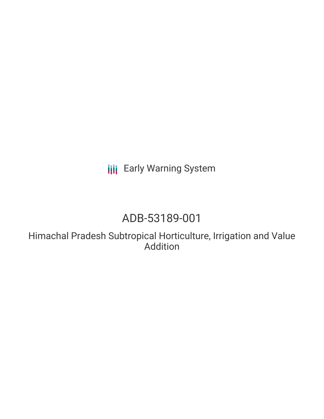**III** Early Warning System

# ADB-53189-001

Himachal Pradesh Subtropical Horticulture, Irrigation and Value Addition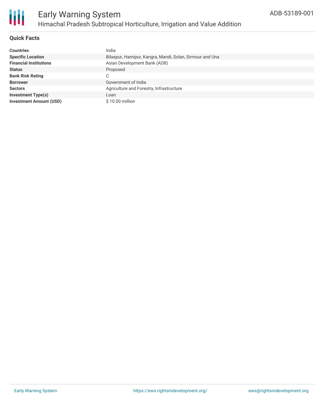

#### **Quick Facts**

| <b>Countries</b>               | India                                                    |
|--------------------------------|----------------------------------------------------------|
| <b>Specific Location</b>       | Bilaspur, Hamipur, Kangra, Mandi, Solan, Sirmour and Una |
| <b>Financial Institutions</b>  | Asian Development Bank (ADB)                             |
| <b>Status</b>                  | Proposed                                                 |
| <b>Bank Risk Rating</b>        | C                                                        |
| <b>Borrower</b>                | Government of India                                      |
| <b>Sectors</b>                 | Agriculture and Forestry, Infrastructure                 |
| <b>Investment Type(s)</b>      | Loan                                                     |
| <b>Investment Amount (USD)</b> | \$10.00 million                                          |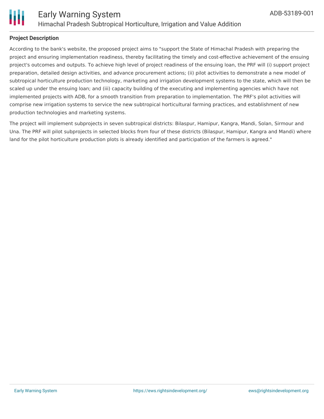



#### **Project Description**

According to the bank's website, the proposed project aims to "support the State of Himachal Pradesh with preparing the project and ensuring implementation readiness, thereby facilitating the timely and cost-effective achievement of the ensuing project's outcomes and outputs. To achieve high level of project readiness of the ensuing loan, the PRF will (i) support project preparation, detailed design activities, and advance procurement actions; (ii) pilot activities to demonstrate a new model of subtropical horticulture production technology, marketing and irrigation development systems to the state, which will then be scaled up under the ensuing loan; and (iii) capacity building of the executing and implementing agencies which have not implemented projects with ADB, for a smooth transition from preparation to implementation. The PRF's pilot activities will comprise new irrigation systems to service the new subtropical horticultural farming practices, and establishment of new production technologies and marketing systems.

The project will implement subprojects in seven subtropical districts: Bilaspur, Hamipur, Kangra, Mandi, Solan, Sirmour and Una. The PRF will pilot subprojects in selected blocks from four of these districts (Bilaspur, Hamipur, Kangra and Mandi) where land for the pilot horticulture production plots is already identified and participation of the farmers is agreed."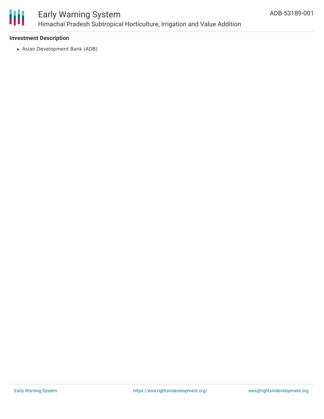

## Early Warning System Himachal Pradesh Subtropical Horticulture, Irrigation and Value Addition

#### **Investment Description**

Asian Development Bank (ADB)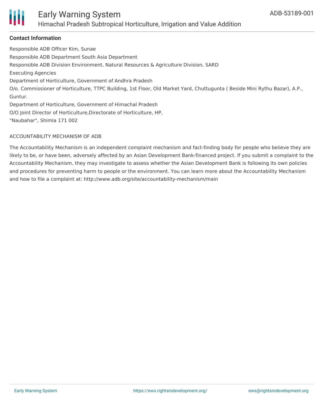

### Early Warning System Himachal Pradesh Subtropical Horticulture, Irrigation and Value Addition

#### **Contact Information**

Responsible ADB Officer Kim, Sunae Responsible ADB Department South Asia Department Responsible ADB Division Environment, Natural Resources & Agriculture Division, SARD Executing Agencies Department of Horticulture, Government of Andhra Pradesh O/o. Commissioner of Horticulture, TTPC Building, 1st Floor, Old Market Yard, Chuttugunta ( Beside Mini Rythu Bazar), A.P., Guntur. Department of Horticulture, Government of Himachal Pradesh O/O Joint Director of Horticulture,Directorate of Horticulture, HP,

"Naubahar", Shimla 171 002

#### ACCOUNTABILITY MECHANISM OF ADB

The Accountability Mechanism is an independent complaint mechanism and fact-finding body for people who believe they are likely to be, or have been, adversely affected by an Asian Development Bank-financed project. If you submit a complaint to the Accountability Mechanism, they may investigate to assess whether the Asian Development Bank is following its own policies and procedures for preventing harm to people or the environment. You can learn more about the Accountability Mechanism and how to file a complaint at: http://www.adb.org/site/accountability-mechanism/main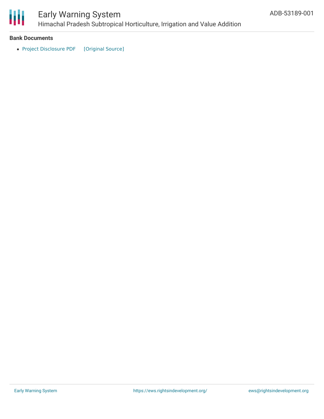

## Early Warning System

Himachal Pradesh Subtropical Horticulture, Irrigation and Value Addition

#### **Bank Documents**

• Project [Disclosure](https://ewsdata.rightsindevelopment.org/files/documents/01/ADB-53189-001.pdf) PDF [\[Original](https://www.adb.org/printpdf/projects/53189-001/main) Source]